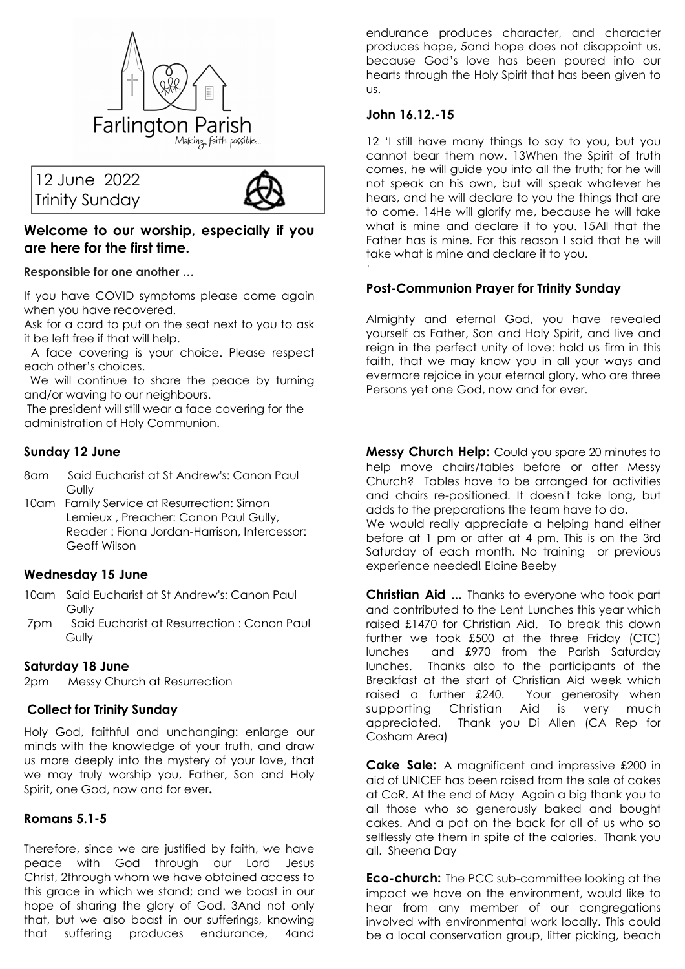





# **Welcome to our worship, especially if you are here for the first time.**

**Responsible for one another …** 

If you have COVID symptoms please come again when you have recovered.

Ask for a card to put on the seat next to you to ask it be left free if that will help.

 A face covering is your choice. Please respect each other's choices.

 We will continue to share the peace by turning and/or waving to our neighbours.

 The president will still wear a face covering for the administration of Holy Communion.

# **Sunday 12 June**

- 8am Said Eucharist at St Andrew's: Canon Paul **Gully**
- 10am Family Service at Resurrection: Simon Lemieux , Preacher: Canon Paul Gully, Reader : Fiona Jordan-Harrison, Intercessor: Geoff Wilson

# **Wednesday 15 June**

- 10am Said Eucharist at St Andrew's: Canon Paul **Gully**
- 7pm Said Eucharist at Resurrection : Canon Paul **Gully**

# **Saturday 18 June**

2pm Messy Church at Resurrection

# **Collect for Trinity Sunday**

Holy God, faithful and unchanging: enlarge our minds with the knowledge of your truth, and draw us more deeply into the mystery of your love, that we may truly worship you, Father, Son and Holy Spirit, one God, now and for ever**.** 

# **Romans 5.1-5**

Therefore, since we are justified by faith, we have peace with God through our Lord Jesus Christ, 2through whom we have obtained access to this grace in which we stand; and we boast in our hope of sharing the glory of God. 3And not only that, but we also boast in our sufferings, knowing that suffering produces endurance, 4and

endurance produces character, and character produces hope, 5and hope does not disappoint us, because God's love has been poured into our hearts through the Holy Spirit that has been given to us.

#### **John 16.12.-15**

'

12 'I still have many things to say to you, but you cannot bear them now. 13When the Spirit of truth comes, he will guide you into all the truth; for he will not speak on his own, but will speak whatever he hears, and he will declare to you the things that are to come. 14He will glorify me, because he will take what is mine and declare it to you. 15All that the Father has is mine. For this reason I said that he will take what is mine and declare it to you.

# **Post-Communion Prayer for Trinity Sunday**

Almighty and eternal God, you have revealed yourself as Father, Son and Holy Spirit, and live and reign in the perfect unity of love: hold us firm in this faith, that we may know you in all your ways and evermore rejoice in your eternal glory, who are three Persons yet one God, now and for ever.

**Messy Church Help:** Could you spare 20 minutes to help move chairs/tables before or after Messy Church? Tables have to be arranged for activities and chairs re-positioned. It doesn't take long, but adds to the preparations the team have to do.

**\_\_\_\_\_\_\_\_\_\_\_\_\_\_\_\_\_\_\_\_\_\_\_\_\_\_\_\_\_\_\_\_\_\_\_\_\_\_\_\_\_\_\_\_\_\_\_\_\_\_\_\_\_\_** 

We would really appreciate a helping hand either before at 1 pm or after at 4 pm. This is on the 3rd Saturday of each month. No training or previous experience needed! Elaine Beeby

**Christian Aid ...** Thanks to everyone who took part and contributed to the Lent Lunches this year which raised £1470 for Christian Aid. To break this down further we took £500 at the three Friday (CTC) lunches and £970 from the Parish Saturday lunches. Thanks also to the participants of the Breakfast at the start of Christian Aid week which raised a further £240. Your generosity when supporting Christian Aid is very much appreciated. Thank you Di Allen (CA Rep for Cosham Area)

**Cake Sale:** A magnificent and impressive £200 in aid of UNICEF has been raised from the sale of cakes at CoR. At the end of May Again a big thank you to all those who so generously baked and bought cakes. And a pat on the back for all of us who so selflessly ate them in spite of the calories. Thank you all. Sheena Day

**Eco-church:** The PCC sub-committee looking at the impact we have on the environment, would like to hear from any member of our congregations involved with environmental work locally. This could be a local conservation group, litter picking, beach